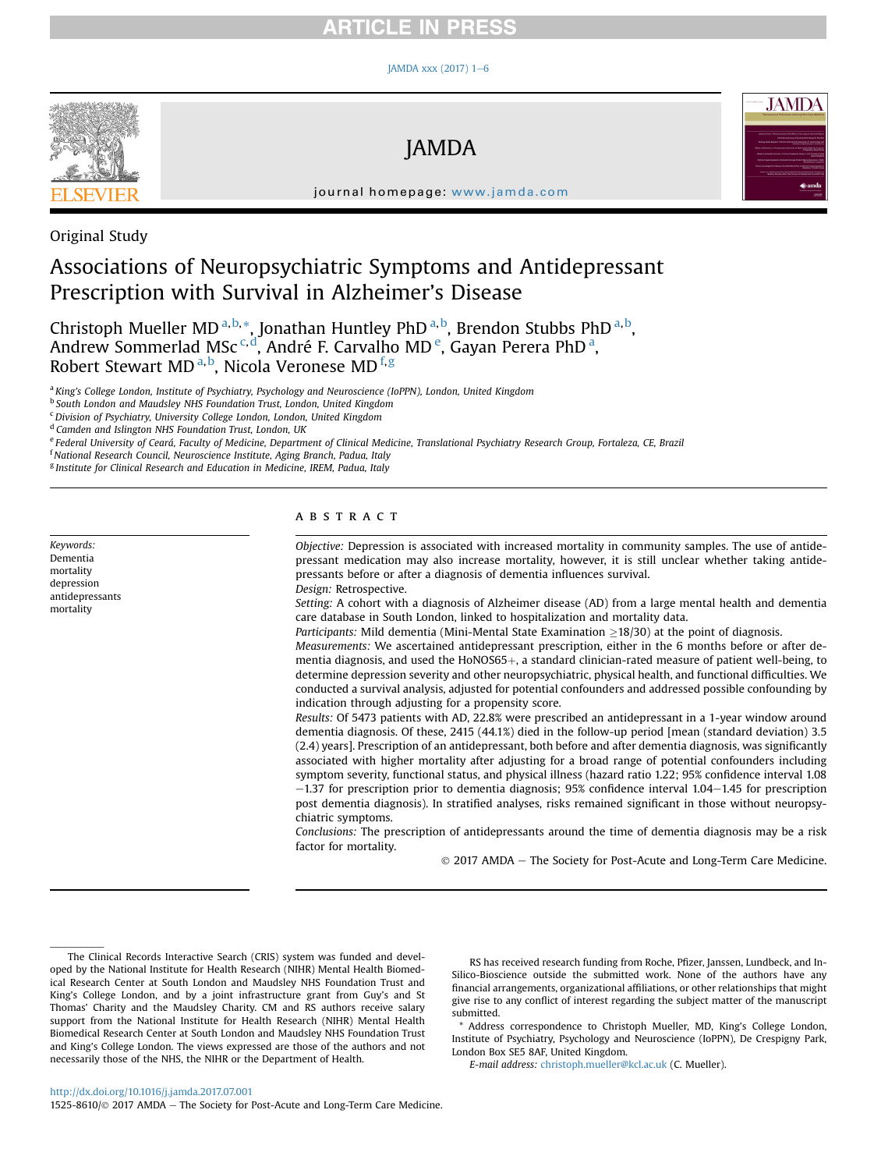# **RTICLE IN PRESS**

#### JAMDA xxx (2017)  $1-6$  $1-6$



JAMDA



journal homepage: [www.jamda.com](http://www.jamda.com)

Original Study

Keywords: Dementia mortality depression antidepressants mortality

# Associations of Neuropsychiatric Symptoms and Antidepressant Prescription with Survival in Alzheimer's Disease

Christoph Mueller MD<sup>a,b,\*</sup>, Jonathan Huntley PhD<sup>a,b</sup>, Brendon Stubbs PhD<sup>a,b</sup>, Andrew Sommerlad MSc<sup>c,d</sup>, André F. Carvalho MD<sup>e</sup>, Gayan Perera PhD<sup>a</sup>, Robert Stewart MD <sup>a, b</sup>, Nicola Veronese MD <sup>f, g</sup>

<sup>a</sup> King's College London, Institute of Psychiatry, Psychology and Neuroscience (IoPPN), London, United Kingdom

<sup>b</sup> South London and Maudsley NHS Foundation Trust, London, United Kingdom

 $c$ Division of Psychiatry, University College London, London, United Kingdom

<sup>d</sup> Camden and Islington NHS Foundation Trust, London, UK

<sup>e</sup> Federal University of Ceará, Faculty of Medicine, Department of Clinical Medicine, Translational Psychiatry Research Group, Fortaleza, CE, Brazil

<sup>f</sup> National Research Council, Neuroscience Institute, Aging Branch, Padua, Italy

<sup>g</sup> Institute for Clinical Research and Education in Medicine, IREM, Padua, Italy

#### **ABSTRACT**

Objective: Depression is associated with increased mortality in community samples. The use of antidepressant medication may also increase mortality, however, it is still unclear whether taking antidepressants before or after a diagnosis of dementia influences survival. Design: Retrospective.

Setting: A cohort with a diagnosis of Alzheimer disease (AD) from a large mental health and dementia care database in South London, linked to hospitalization and mortality data.

*Participants:* Mild dementia (Mini-Mental State Examination  $>18/30$ ) at the point of diagnosis.

Measurements: We ascertained antidepressant prescription, either in the 6 months before or after dementia diagnosis, and used the HoNOS65+, a standard clinician-rated measure of patient well-being, to determine depression severity and other neuropsychiatric, physical health, and functional difficulties. We conducted a survival analysis, adjusted for potential confounders and addressed possible confounding by indication through adjusting for a propensity score.

Results: Of 5473 patients with AD, 22.8% were prescribed an antidepressant in a 1-year window around dementia diagnosis. Of these, 2415 (44.1%) died in the follow-up period [mean (standard deviation) 3.5 (2.4) years]. Prescription of an antidepressant, both before and after dementia diagnosis, was significantly associated with higher mortality after adjusting for a broad range of potential confounders including symptom severity, functional status, and physical illness (hazard ratio 1.22; 95% confidence interval 1.08  $-1.37$  for prescription prior to dementia diagnosis; 95% confidence interval 1.04 $-1.45$  for prescription post dementia diagnosis). In stratified analyses, risks remained significant in those without neuropsychiatric symptoms.

Conclusions: The prescription of antidepressants around the time of dementia diagnosis may be a risk factor for mortality.

2017 AMDA e The Society for Post-Acute and Long-Term Care Medicine.

RS has received research funding from Roche, Pfizer, Janssen, Lundbeck, and In-Silico-Bioscience outside the submitted work. None of the authors have any financial arrangements, organizational affiliations, or other relationships that might give rise to any conflict of interest regarding the subject matter of the manuscript submitted.

\* Address correspondence to Christoph Mueller, MD, King's College London, Institute of Psychiatry, Psychology and Neuroscience (IoPPN), De Crespigny Park, London Box SE5 8AF, United Kingdom.

E-mail address: [christoph.mueller@kcl.ac.uk](mailto:christoph.mueller@kcl.ac.uk) (C. Mueller).

The Clinical Records Interactive Search (CRIS) system was funded and developed by the National Institute for Health Research (NIHR) Mental Health Biomedical Research Center at South London and Maudsley NHS Foundation Trust and King's College London, and by a joint infrastructure grant from Guy's and St Thomas' Charity and the Maudsley Charity. CM and RS authors receive salary support from the National Institute for Health Research (NIHR) Mental Health Biomedical Research Center at South London and Maudsley NHS Foundation Trust and King's College London. The views expressed are those of the authors and not necessarily those of the NHS, the NIHR or the Department of Health.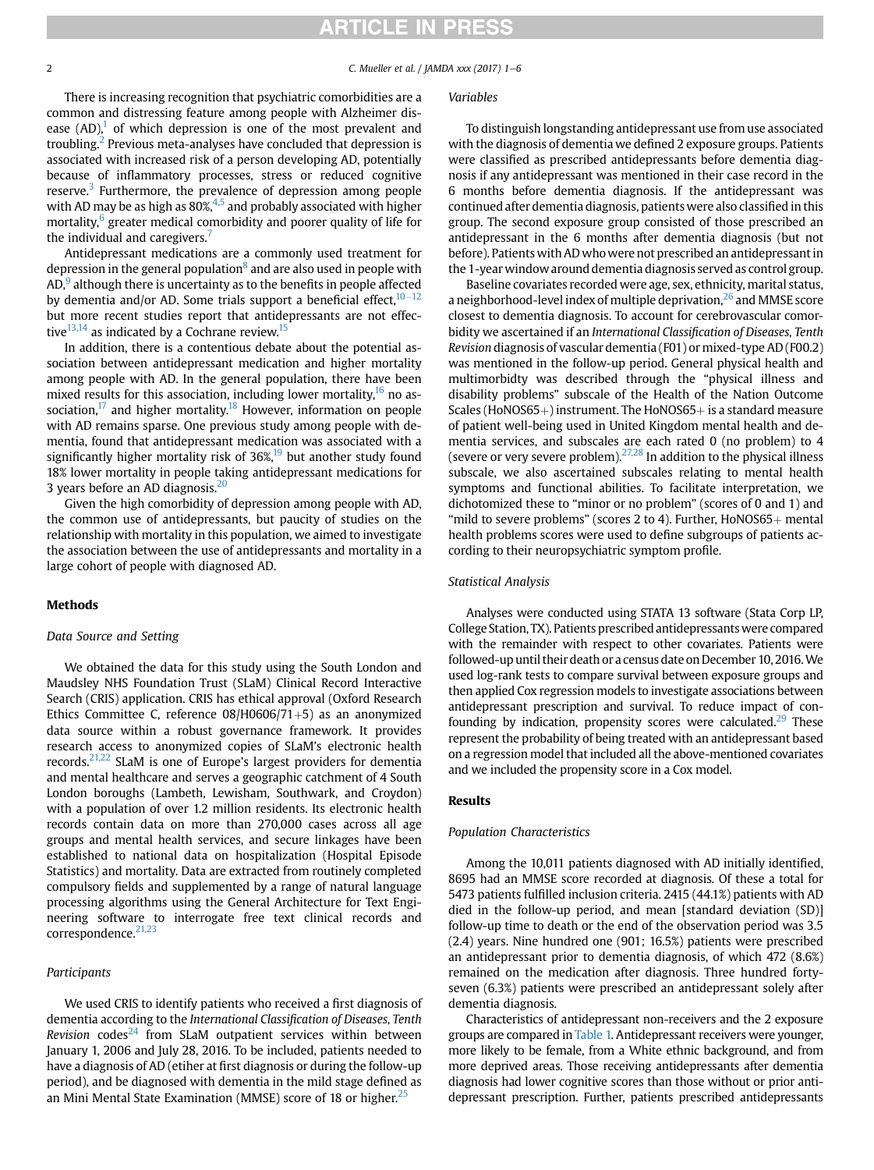# **ARTICLE IN PRESS**

#### 2 C. Mueller et al. / JAMDA xxx (2017)  $1-6$

There is increasing recognition that psychiatric comorbidities are a common and distressing feature among people with Alzheimer disease (AD),<sup>1</sup> of which depression is one of the most prevalent and troubling.[2](#page-4-0) Previous meta-analyses have concluded that depression is associated with increased risk of a person developing AD, potentially because of inflammatory processes, stress or reduced cognitive reserve. $3$  Furthermore, the prevalence of depression among people with AD may be as high as  $80\%$ <sup>4,5</sup> and probably associated with higher mortality,<sup>[6](#page-4-0)</sup> greater medical comorbidity and poorer quality of life for the individual and caregivers.<sup>[7](#page-4-0)</sup>

Antidepressant medications are a commonly used treatment for depression in the general population $\delta$  and are also used in people with  $AD<sub>1</sub><sup>9</sup>$  $AD<sub>1</sub><sup>9</sup>$  $AD<sub>1</sub><sup>9</sup>$  although there is uncertainty as to the benefits in people affected by dementia and/or AD. Some trials support a beneficial effect,  $10-12$  $10-12$ but more recent studies report that antidepressants are not effective $13,14$  as indicated by a Cochrane review.<sup>[15](#page-4-0)</sup>

In addition, there is a contentious debate about the potential association between antidepressant medication and higher mortality among people with AD. In the general population, there have been mixed results for this association, including lower mortality, $16$  no association, $17$  and higher mortality.<sup>18</sup> However, information on people with AD remains sparse. One previous study among people with dementia, found that antidepressant medication was associated with a significantly higher mortality risk of  $36\%,^{19}$  but another study found 18% lower mortality in people taking antidepressant medications for 3 years before an AD diagnosis.<sup>20</sup>

Given the high comorbidity of depression among people with AD, the common use of antidepressants, but paucity of studies on the relationship with mortality in this population, we aimed to investigate the association between the use of antidepressants and mortality in a large cohort of people with diagnosed AD.

#### Methods

#### Data Source and Setting

We obtained the data for this study using the South London and Maudsley NHS Foundation Trust (SLaM) Clinical Record Interactive Search (CRIS) application. CRIS has ethical approval (Oxford Research Ethics Committee C, reference  $08/H0606/71+5$ ) as an anonymized data source within a robust governance framework. It provides research access to anonymized copies of SLaM's electronic health records.<sup>[21,22](#page-5-0)</sup> SLaM is one of Europe's largest providers for dementia and mental healthcare and serves a geographic catchment of 4 South London boroughs (Lambeth, Lewisham, Southwark, and Croydon) with a population of over 1.2 million residents. Its electronic health records contain data on more than 270,000 cases across all age groups and mental health services, and secure linkages have been established to national data on hospitalization (Hospital Episode Statistics) and mortality. Data are extracted from routinely completed compulsory fields and supplemented by a range of natural language processing algorithms using the General Architecture for Text Engineering software to interrogate free text clinical records and correspondence.<sup>[21,23](#page-5-0)</sup>

#### Participants

We used CRIS to identify patients who received a first diagnosis of dementia according to the International Classification of Diseases, Tenth Revision codes<sup>[24](#page-5-0)</sup> from SLaM outpatient services within between January 1, 2006 and July 28, 2016. To be included, patients needed to have a diagnosis of AD (etiher at first diagnosis or during the follow-up period), and be diagnosed with dementia in the mild stage defined as an Mini Mental State Examination (MMSE) score of 18 or higher.<sup>25</sup>

#### Variables

To distinguish longstanding antidepressant use from use associated with the diagnosis of dementia we defined 2 exposure groups. Patients were classified as prescribed antidepressants before dementia diagnosis if any antidepressant was mentioned in their case record in the 6 months before dementia diagnosis. If the antidepressant was continued after dementia diagnosis, patients were also classified in this group. The second exposure group consisted of those prescribed an antidepressant in the 6 months after dementia diagnosis (but not before). Patients with AD whowere not prescribed an antidepressant in the 1-year window around dementia diagnosis served as control group.

Baseline covariates recorded were age, sex, ethnicity, marital status, a neighborhood-level index of multiple deprivation, $26$  and MMSE score closest to dementia diagnosis. To account for cerebrovascular comorbidity we ascertained if an International Classification of Diseases, Tenth Revision diagnosis of vascular dementia (F01) or mixed-type AD (F00.2) was mentioned in the follow-up period. General physical health and multimorbidty was described through the "physical illness and disability problems" subscale of the Health of the Nation Outcome Scales (HoNOS65+) instrument. The HoNOS65+ is a standard measure of patient well-being used in United Kingdom mental health and dementia services, and subscales are each rated 0 (no problem) to 4 (severe or very severe problem). $27,28$  In addition to the physical illness subscale, we also ascertained subscales relating to mental health symptoms and functional abilities. To facilitate interpretation, we dichotomized these to "minor or no problem" (scores of 0 and 1) and "mild to severe problems" (scores 2 to 4). Further,  $H_0NOS65+$  mental health problems scores were used to define subgroups of patients according to their neuropsychiatric symptom profile.

#### Statistical Analysis

Analyses were conducted using STATA 13 software (Stata Corp LP, College Station, TX). Patients prescribed antidepressants were compared with the remainder with respect to other covariates. Patients were followed-up until their death or a census date on December 10, 2016.We used log-rank tests to compare survival between exposure groups and then applied Cox regression models to investigate associations between antidepressant prescription and survival. To reduce impact of confounding by indication, propensity scores were calculated. $29$  These represent the probability of being treated with an antidepressant based on a regression model that included all the above-mentioned covariates and we included the propensity score in a Cox model.

#### Results

### Population Characteristics

Among the 10,011 patients diagnosed with AD initially identified, 8695 had an MMSE score recorded at diagnosis. Of these a total for 5473 patients fulfilled inclusion criteria. 2415 (44.1%) patients with AD died in the follow-up period, and mean [standard deviation (SD)] follow-up time to death or the end of the observation period was 3.5 (2.4) years. Nine hundred one (901; 16.5%) patients were prescribed an antidepressant prior to dementia diagnosis, of which 472 (8.6%) remained on the medication after diagnosis. Three hundred fortyseven (6.3%) patients were prescribed an antidepressant solely after dementia diagnosis.

Characteristics of antidepressant non-receivers and the 2 exposure groups are compared in [Table 1.](#page-2-0) Antidepressant receivers were younger, more likely to be female, from a White ethnic background, and from more deprived areas. Those receiving antidepressants after dementia diagnosis had lower cognitive scores than those without or prior antidepressant prescription. Further, patients prescribed antidepressants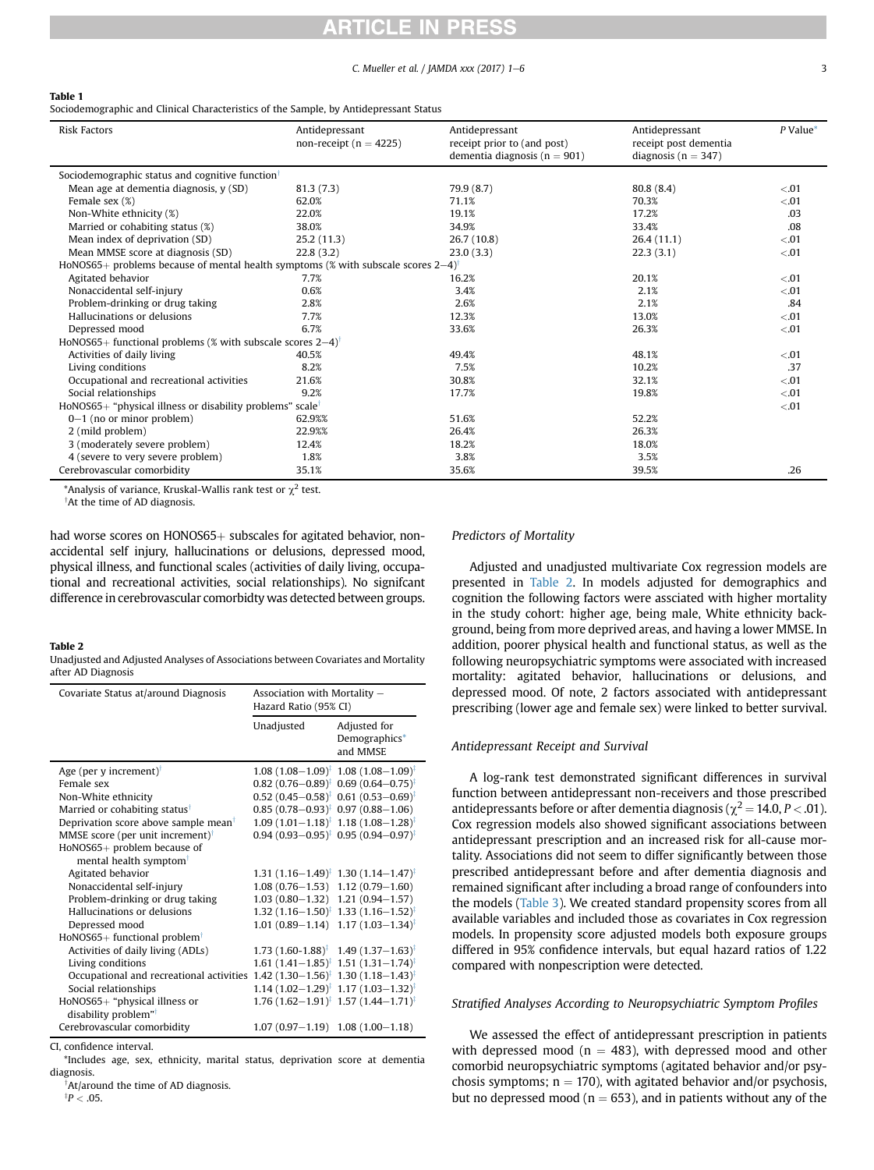# ICI E

#### C. Mueller et al. / JAMDA xxx  $(2017)$   $1-6$  3

#### <span id="page-2-0"></span>Table 1

Sociodemographic and Clinical Characteristics of the Sample, by Antidepressant Status

| <b>Risk Factors</b>                                                                              | Antidepressant<br>non-receipt ( $n = 4225$ ) | Antidepressant<br>receipt prior to (and post)<br>dementia diagnosis ( $n = 901$ ) | Antidepressant<br>receipt post dementia<br>diagnosis ( $n = 347$ ) | $P$ Value* |
|--------------------------------------------------------------------------------------------------|----------------------------------------------|-----------------------------------------------------------------------------------|--------------------------------------------------------------------|------------|
| Sociodemographic status and cognitive function <sup>†</sup>                                      |                                              |                                                                                   |                                                                    |            |
| Mean age at dementia diagnosis, y (SD)                                                           | 81.3(7.3)                                    | 79.9 (8.7)                                                                        | 80.8(8.4)                                                          | < 0.01     |
| Female sex (%)                                                                                   | 62.0%                                        | 71.1%                                                                             | 70.3%                                                              | < 0.01     |
| Non-White ethnicity (%)                                                                          | 22.0%                                        | 19.1%                                                                             | 17.2%                                                              | .03        |
| Married or cohabiting status (%)                                                                 | 38.0%                                        | 34.9%                                                                             | 33.4%                                                              | .08        |
| Mean index of deprivation (SD)                                                                   | 25.2(11.3)                                   | 26.7 (10.8)                                                                       | 26.4(11.1)                                                         | < 0.01     |
| Mean MMSE score at diagnosis (SD)                                                                | 22.8(3.2)                                    | 23.0(3.3)                                                                         | 22.3(3.1)                                                          | < 0.01     |
| HoNOS65+ problems because of mental health symptoms (% with subscale scores $2-4$ ) <sup>†</sup> |                                              |                                                                                   |                                                                    |            |
| Agitated behavior                                                                                | 7.7%                                         | 16.2%                                                                             | 20.1%                                                              | < 0.01     |
| Nonaccidental self-injury                                                                        | 0.6%                                         | 3.4%                                                                              | 2.1%                                                               | < 0.01     |
| Problem-drinking or drug taking                                                                  | 2.8%                                         | 2.6%                                                                              | 2.1%                                                               | .84        |
| Hallucinations or delusions                                                                      | 7.7%                                         | 12.3%                                                                             | 13.0%                                                              | < 0.01     |
| Depressed mood                                                                                   | 6.7%                                         | 33.6%                                                                             | 26.3%                                                              | < 0.01     |
| HoNOS65+ functional problems (% with subscale scores $2-4$ ) <sup>†</sup>                        |                                              |                                                                                   |                                                                    |            |
| Activities of daily living                                                                       | 40.5%                                        | 49.4%                                                                             | 48.1%                                                              | < 0.01     |
| Living conditions                                                                                | 8.2%                                         | 7.5%                                                                              | 10.2%                                                              | .37        |
| Occupational and recreational activities                                                         | 21.6%                                        | 30.8%                                                                             | 32.1%                                                              | < 0.01     |
| Social relationships                                                                             | 9.2%                                         | 17.7%                                                                             | 19.8%                                                              | $-.01$     |
| HoNOS65+ "physical illness or disability problems" scale <sup>†</sup>                            |                                              |                                                                                   |                                                                    | < 0.01     |
| $0-1$ (no or minor problem)                                                                      | 62.9%%                                       | 51.6%                                                                             | 52.2%                                                              |            |
| 2 (mild problem)                                                                                 | 22.9%%                                       | 26.4%                                                                             | 26.3%                                                              |            |
| 3 (moderately severe problem)                                                                    | 12.4%                                        | 18.2%                                                                             | 18.0%                                                              |            |
| 4 (severe to very severe problem)                                                                | 1.8%                                         | 3.8%                                                                              | 3.5%                                                               |            |
| Cerebrovascular comorbidity                                                                      | 35.1%                                        | 35.6%                                                                             | 39.5%                                                              | .26        |

\*Analysis of variance, Kruskal-Wallis rank test or  $\chi^2$  test.

<sup>†</sup>At the time of AD diagnosis.

had worse scores on  $HONOS65+$  subscales for agitated behavior, nonaccidental self injury, hallucinations or delusions, depressed mood, physical illness, and functional scales (activities of daily living, occupational and recreational activities, social relationships). No signifcant difference in cerebrovascular comorbidty was detected between groups.

#### Table 2

Unadjusted and Adjusted Analyses of Associations between Covariates and Mortality after AD Diagnosis

| Covariate Status at/around Diagnosis                              | Association with Mortality -<br>Hazard Ratio (95% CI) |                                                                 |
|-------------------------------------------------------------------|-------------------------------------------------------|-----------------------------------------------------------------|
|                                                                   | Unadjusted                                            | Adjusted for<br>Demographics*<br>and MMSE                       |
| Age (per y increment) <sup>†</sup>                                |                                                       | $1.08 (1.08 - 1.09)^{\ddagger}$ 1.08 $(1.08 - 1.09)^{\ddagger}$ |
| Female sex                                                        |                                                       | $0.82$ (0.76-0.89) <sup>‡</sup> 0.69 (0.64-0.75) <sup>‡</sup>   |
| Non-White ethnicity                                               |                                                       | $0.52$ (0.45-0.58) <sup>‡</sup> 0.61 (0.53-0.69) <sup>‡</sup>   |
| Married or cohabiting status <sup>†</sup>                         |                                                       | $0.85(0.78-0.93)^{\ddagger}$ 0.97 (0.88-1.06)                   |
| Deprivation score above sample mean <sup>†</sup>                  |                                                       | $1.09(1.01-1.18)^{\ddagger}$ 1.18 $(1.08-1.28)^{\ddagger}$      |
| MMSE score (per unit increment) <sup>†</sup>                      |                                                       | $0.94(0.93 - 0.95)^{\ddagger}$ 0.95 $(0.94 - 0.97)^{\ddagger}$  |
| HoNOS65+ problem because of<br>mental health symptom <sup>†</sup> |                                                       |                                                                 |
| Agitated behavior                                                 |                                                       | $1.31 (1.16 - 1.49)^{\ddagger}$ 1.30 $(1.14 - 1.47)^{\ddagger}$ |
| Nonaccidental self-injury                                         |                                                       | $1.08(0.76-1.53)$ $1.12(0.79-1.60)$                             |
| Problem-drinking or drug taking                                   |                                                       | $1.03(0.80-1.32)$ 1.21 $(0.94-1.57)$                            |
| Hallucinations or delusions                                       |                                                       | $1.32(1.16-1.50)^{\ddagger}$ 1.33 $(1.16-1.52)^{\ddagger}$      |
| Depressed mood                                                    |                                                       | $1.01(0.89 - 1.14)$ $1.17(1.03 - 1.34)^{\ddagger}$              |
| HoNOS65+ functional problem <sup>†</sup>                          |                                                       |                                                                 |
| Activities of daily living (ADLs)                                 |                                                       | $1.73$ (1.60-1.88) <sup>‡</sup> 1.49 (1.37-1.63) <sup>‡</sup>   |
| Living conditions                                                 |                                                       | $1.61 (1.41 - 1.85)^{\ddagger}$ 1.51 $(1.31 - 1.74)^{\ddagger}$ |
| Occupational and recreational activities                          |                                                       | $1.42$ (1.30-1.56) <sup>‡</sup> 1.30 (1.18-1.43) <sup>‡</sup>   |
| Social relationships                                              |                                                       | $1.14(1.02-1.29)^{\ddagger}$ 1.17 $(1.03-1.32)^{\ddagger}$      |
| HoNOS65+ "physical illness or                                     |                                                       | $1.76$ $(1.62-1.91)^{\ddagger}$ 1.57 $(1.44-1.71)^{\ddagger}$   |
| disability problem" <sup>†</sup>                                  |                                                       |                                                                 |
| Cerebrovascular comorbidity                                       |                                                       | $1.07(0.97-1.19)$ $1.08(1.00-1.18)$                             |

CI, confidence interval.

\*Includes age, sex, ethnicity, marital status, deprivation score at dementia diagnosis.

†At/around the time of AD diagnosis.  $P < .05$ .

## Predictors of Mortality

Adjusted and unadjusted multivariate Cox regression models are presented in Table 2. In models adjusted for demographics and cognition the following factors were assciated with higher mortality in the study cohort: higher age, being male, White ethnicity background, being from more deprived areas, and having a lower MMSE. In addition, poorer physical health and functional status, as well as the following neuropsychiatric symptoms were associated with increased mortality: agitated behavior, hallucinations or delusions, and depressed mood. Of note, 2 factors associated with antidepressant prescribing (lower age and female sex) were linked to better survival.

#### Antidepressant Receipt and Survival

A log-rank test demonstrated significant differences in survival function between antidepressant non-receivers and those prescribed antidepressants before or after dementia diagnosis ( $\chi^2$  = 14.0, P < .01). Cox regression models also showed significant associations between antidepressant prescription and an increased risk for all-cause mortality. Associations did not seem to differ significantly between those prescribed antidepressant before and after dementia diagnosis and remained significant after including a broad range of confounders into the models [\(Table 3](#page-3-0)). We created standard propensity scores from all available variables and included those as covariates in Cox regression models. In propensity score adjusted models both exposure groups differed in 95% confidence intervals, but equal hazard ratios of 1.22 compared with nonpescription were detected.

#### Stratified Analyses According to Neuropsychiatric Symptom Profiles

We assessed the effect of antidepressant prescription in patients with depressed mood ( $n = 483$ ), with depressed mood and other comorbid neuropsychiatric symptoms (agitated behavior and/or psychosis symptoms;  $n = 170$ ), with agitated behavior and/or psychosis, but no depressed mood ( $n = 653$ ), and in patients without any of the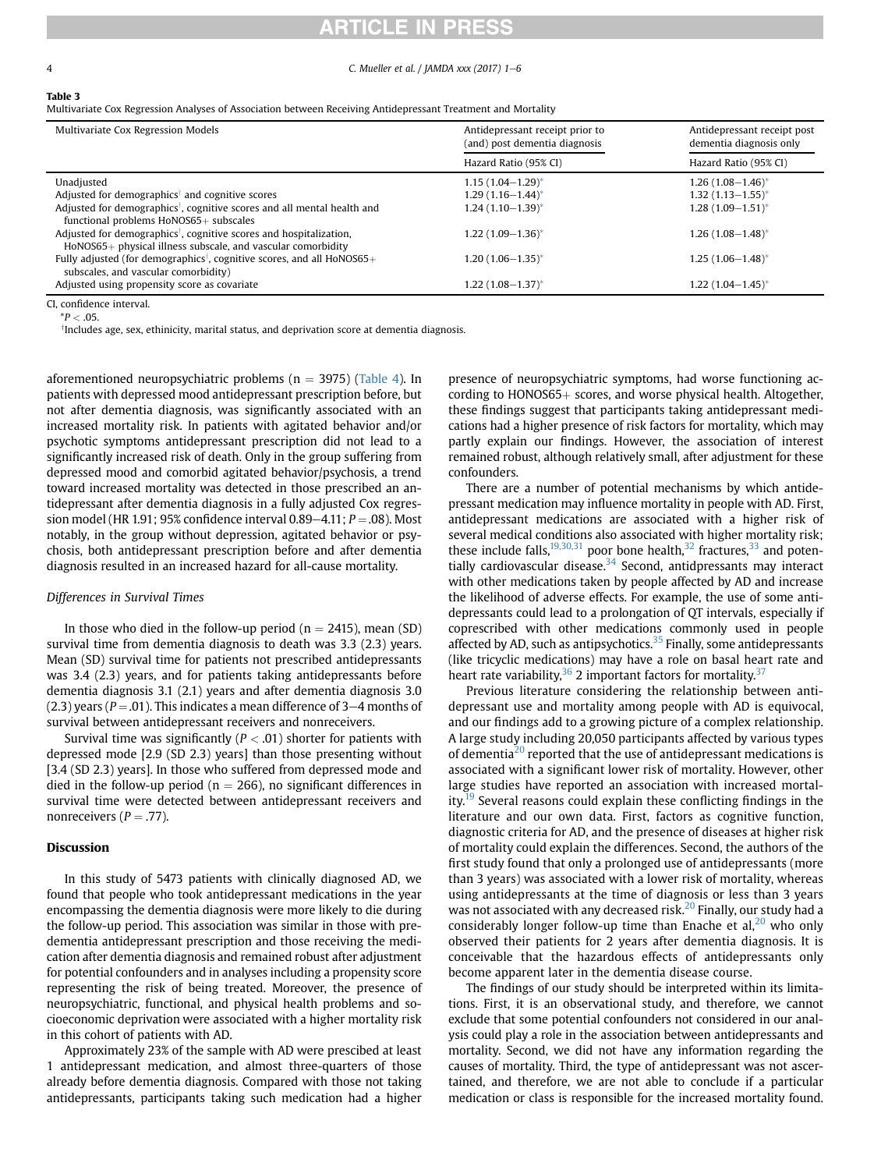# **RTICLE IN PRESS**

### <span id="page-3-0"></span>4 C. Mueller et al. / JAMDA xxx (2017) 1–6

#### Table 3

Multivariate Cox Regression Analyses of Association between Receiving Antidepressant Treatment and Mortality

| Multivariate Cox Regression Models                                                                                                                | Antidepressant receipt prior to<br>(and) post dementia diagnosis | Antidepressant receipt post<br>dementia diagnosis only |
|---------------------------------------------------------------------------------------------------------------------------------------------------|------------------------------------------------------------------|--------------------------------------------------------|
|                                                                                                                                                   | Hazard Ratio (95% CI)                                            | Hazard Ratio (95% CI)                                  |
| Unadjusted                                                                                                                                        | $1.15(1.04-1.29)^{*}$                                            | $1.26(1.08-1.46)^*$                                    |
| Adjusted for demographics <sup>†</sup> and cognitive scores                                                                                       | $1.29(1.16 - 1.44)^*$                                            | $1.32(1.13 - 1.55)^*$                                  |
| Adjusted for demographics <sup>†</sup> , cognitive scores and all mental health and<br>functional problems HoNOS65+ subscales                     | $1.24(1.10-1.39)^{*}$                                            | $1.28(1.09 - 1.51)^{*}$                                |
| Adjusted for demographics <sup>†</sup> , cognitive scores and hospitalization,<br>$H_0NOS65+$ physical illness subscale, and vascular comorbidity | $1.22(1.09-1.36)^*$                                              | $1.26(1.08 - 1.48)^*$                                  |
| Fully adjusted (for demographics <sup>†</sup> , cognitive scores, and all HoNOS65+<br>subscales, and vascular comorbidity)                        | $1,20(1.06-1.35)^*$                                              | $1.25(1.06 - 1.48)^{*}$                                |
| Adjusted using propensity score as covariate                                                                                                      | $1.22(1.08-1.37)^{*}$                                            | 1.22 (1.04–1.45)*                                      |

CI, confidence interval.

 $*P < .05$ .

y Includes age, sex, ethinicity, marital status, and deprivation score at dementia diagnosis.

aforementioned neuropsychiatric problems ( $n = 3975$ ) [\(Table 4](#page-4-0)). In patients with depressed mood antidepressant prescription before, but not after dementia diagnosis, was significantly associated with an increased mortality risk. In patients with agitated behavior and/or psychotic symptoms antidepressant prescription did not lead to a significantly increased risk of death. Only in the group suffering from depressed mood and comorbid agitated behavior/psychosis, a trend toward increased mortality was detected in those prescribed an antidepressant after dementia diagnosis in a fully adjusted Cox regression model (HR 1.91; 95% confidence interval  $0.89 - 4.11$ ;  $P = .08$ ). Most notably, in the group without depression, agitated behavior or psychosis, both antidepressant prescription before and after dementia diagnosis resulted in an increased hazard for all-cause mortality.

## Differences in Survival Times

In those who died in the follow-up period ( $n = 2415$ ), mean (SD) survival time from dementia diagnosis to death was 3.3 (2.3) years. Mean (SD) survival time for patients not prescribed antidepressants was 3.4 (2.3) years, and for patients taking antidepressants before dementia diagnosis 3.1 (2.1) years and after dementia diagnosis 3.0 (2.3) years ( $P = .01$ ). This indicates a mean difference of 3–4 months of survival between antidepressant receivers and nonreceivers.

Survival time was significantly ( $P < .01$ ) shorter for patients with depressed mode [2.9 (SD 2.3) years] than those presenting without [3.4 (SD 2.3) years]. In those who suffered from depressed mode and died in the follow-up period ( $n = 266$ ), no significant differences in survival time were detected between antidepressant receivers and nonreceivers ( $P = .77$ ).

# Discussion

In this study of 5473 patients with clinically diagnosed AD, we found that people who took antidepressant medications in the year encompassing the dementia diagnosis were more likely to die during the follow-up period. This association was similar in those with predementia antidepressant prescription and those receiving the medication after dementia diagnosis and remained robust after adjustment for potential confounders and in analyses including a propensity score representing the risk of being treated. Moreover, the presence of neuropsychiatric, functional, and physical health problems and socioeconomic deprivation were associated with a higher mortality risk in this cohort of patients with AD.

Approximately 23% of the sample with AD were prescibed at least 1 antidepressant medication, and almost three-quarters of those already before dementia diagnosis. Compared with those not taking antidepressants, participants taking such medication had a higher presence of neuropsychiatric symptoms, had worse functioning according to  $HONOS65+$  scores, and worse physical health. Altogether, these findings suggest that participants taking antidepressant medications had a higher presence of risk factors for mortality, which may partly explain our findings. However, the association of interest remained robust, although relatively small, after adjustment for these confounders.

There are a number of potential mechanisms by which antidepressant medication may influence mortality in people with AD. First, antidepressant medications are associated with a higher risk of several medical conditions also associated with higher mortality risk; these include falls, $19,30,31$  poor bone health, $32$  fractures, $33$  and potentially cardiovascular disease. $34$  Second, antidpressants may interact with other medications taken by people affected by AD and increase the likelihood of adverse effects. For example, the use of some antidepressants could lead to a prolongation of QT intervals, especially if coprescribed with other medications commonly used in people affected by AD, such as antipsychotics.<sup>[35](#page-5-0)</sup> Finally, some antidepressants (like tricyclic medications) may have a role on basal heart rate and heart rate variability,  $36$  2 important factors for mortality.  $37$ 

Previous literature considering the relationship between antidepressant use and mortality among people with AD is equivocal, and our findings add to a growing picture of a complex relationship. A large study including 20,050 participants affected by various types of dementia<sup>[20](#page-5-0)</sup> reported that the use of antidepressant medications is associated with a significant lower risk of mortality. However, other large studies have reported an association with increased mortal-ity.<sup>[19](#page-5-0)</sup> Several reasons could explain these conflicting findings in the literature and our own data. First, factors as cognitive function, diagnostic criteria for AD, and the presence of diseases at higher risk of mortality could explain the differences. Second, the authors of the first study found that only a prolonged use of antidepressants (more than 3 years) was associated with a lower risk of mortality, whereas using antidepressants at the time of diagnosis or less than 3 years was not associated with any decreased risk.<sup>[20](#page-5-0)</sup> Finally, our study had a considerably longer follow-up time than Enache et al, $^{20}$  $^{20}$  $^{20}$  who only observed their patients for 2 years after dementia diagnosis. It is conceivable that the hazardous effects of antidepressants only become apparent later in the dementia disease course.

The findings of our study should be interpreted within its limitations. First, it is an observational study, and therefore, we cannot exclude that some potential confounders not considered in our analysis could play a role in the association between antidepressants and mortality. Second, we did not have any information regarding the causes of mortality. Third, the type of antidepressant was not ascertained, and therefore, we are not able to conclude if a particular medication or class is responsible for the increased mortality found.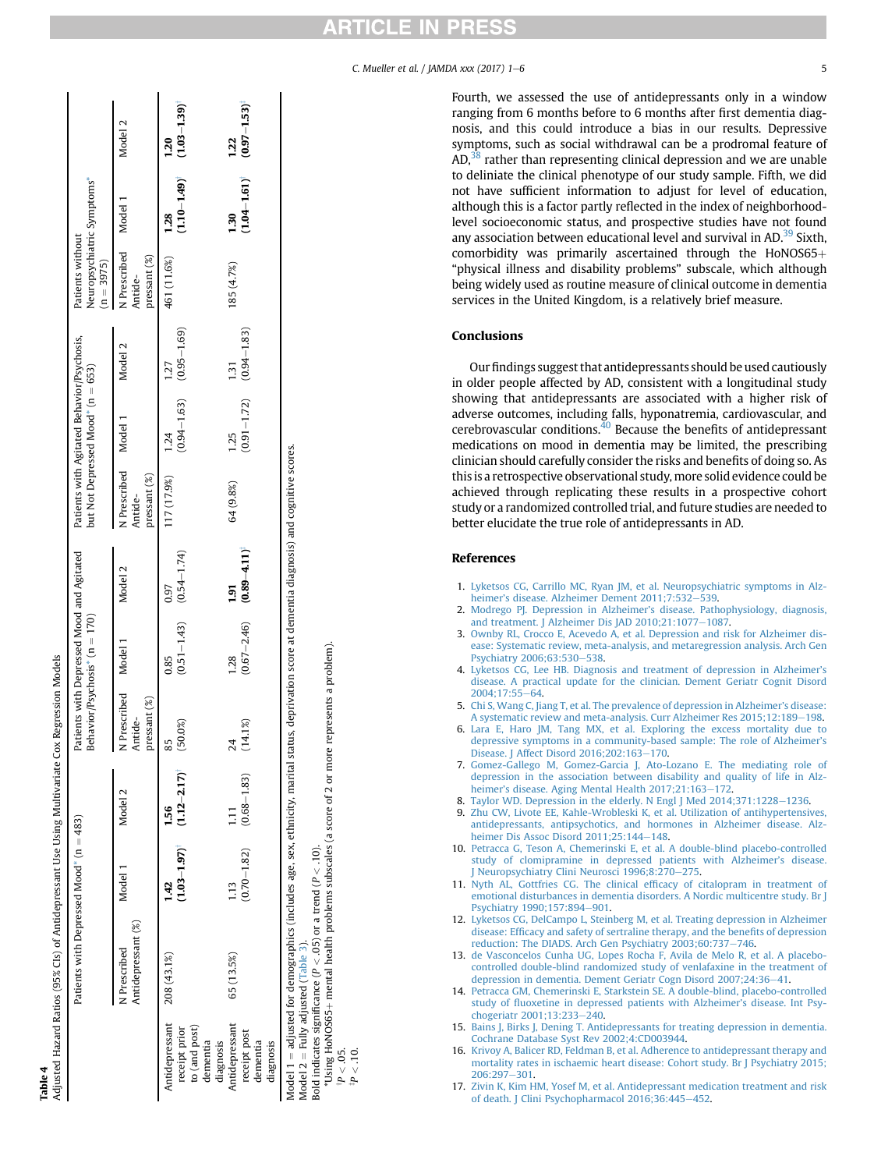| .<br>.<br>.                |
|----------------------------|
| Ĭ                          |
|                            |
| Ĵ<br>j                     |
| ;<br>;<br>;<br>;<br>;<br>ì |
| $\tilde{c}$                |
|                            |
| j<br>ļ                     |
|                            |
|                            |
|                            |

<span id="page-4-0"></span>

|                                                                      |                                    | Patients with Depressed Mood* $(n = 483)$ |                                                                 | Patients with Depressed Mood and Agitated    | Behavior/Psychosis* $(n = 170)$         |                                          |                                                   | Patients with Agitated Behavior/Psychosis,<br>but Not Depressed Mood* (n = 653) |                  | Neuropsychiatric Symptoms*<br>Patients without<br>$(n = 3975)$ |                                         |                           |
|----------------------------------------------------------------------|------------------------------------|-------------------------------------------|-----------------------------------------------------------------|----------------------------------------------|-----------------------------------------|------------------------------------------|---------------------------------------------------|---------------------------------------------------------------------------------|------------------|----------------------------------------------------------------|-----------------------------------------|---------------------------|
|                                                                      | Antidepressant (%)<br>N Prescribed | Model 1                                   | Model 2                                                         | Prescribed Model 1<br>ressant (%)<br>Antide- |                                         | Model <sub>2</sub>                       | N Prescribed Model 1<br>$presant (\%)$<br>Antide- |                                                                                 | Model 2          | N Prescribed Model 1<br>pressant (%)<br>Antide-                |                                         | Model 2                   |
| Antidepressant<br>to (and post)<br>receipt prior<br>dementia         | 208 (43.1%)                        | 142                                       | $(1.03 - 1.97)$ <sup>1</sup> $(1.12 - 2.17)$ <sup>1</sup><br>56 | (50.0%)<br>55                                | $(0.51 - 1.43)$ $(0.54 - 1.74)$<br>0.85 | 0.97                                     | 117 (17.9%)                                       | $(0.94 - 1.63)$ $(0.95 - 1.69)$<br>1.24                                         | 1.27             | 461 (11.6%)                                                    | $(1.10 - 1.49)$ $(1.03 - 1.39)$<br>1.28 | 1.20                      |
| Antidepressant<br>receipt post<br>dementia<br>diagnosis<br>diagnosis | 65 (13.5%)                         | $\frac{13}{2}$                            | $(0.70 - 1.82)$ $(0.68 - 1.83)$                                 | (14.1%)<br>对                                 | 1.28                                    | $(0.67 - 2.46)$ $(0.89 - 4.11)^t$<br>ត្ម | 64 (9.8%)                                         | $(0.91 - 1.72)$ $(0.94 - 1.83)$<br>1.25                                         | $\overline{131}$ | 185 (4.7%)                                                     | $(1.04 - 1.61)$<br>1.30                 | $(0.97 - 1.53)^4$<br>1.22 |

Model  $2 =$  Fully adjusted (Table 3). Model  $2 =$  Fully adjusted ([Table](#page-3-0) 3).

Bold indicates significance ( $P < .05$ ) or a trend ( $P < .10$ ).

Bold indicates significance (P < .05) or a trend (P < .10).<br>
\*Using HoNOS65+ mental health problems subscales (a score of 2 or more represents a problem). \*Using HoNOS65þ mental health problems subscales (a score of 2 or more represents a problem). y

բ<br>Հ<br>Գ<br>Գ<br>Գ

Fourth, we assessed the use of antidepressants only in a window ranging from 6 months before to 6 months after first dementia diagnosis, and this could introduce a bias in our results. Depressive symptoms, such as social withdrawal can be a prodromal feature of AD,<sup>38</sup> rather than representing clinical depression and we are unable to deliniate the clinical phenotype of our study sample. Fifth, we did not have sufficient information to adjust for level of education, although this is a factor partly reflected in the index of neighborhoodlevel socioeconomic status, and prospective studies have not found any association between educational level and survival in AD.<sup>39</sup> Sixth, comorbidity was primarily ascertained through the HoNOS65+ "physical illness and disability problems" subscale, which although being widely used as routine measure of clinical outcome in dementia services in the United Kingdom, is a relatively brief measure.

## **Conclusions**

Our findings suggest that antidepressants should be used cautiously in older people affected by AD, consistent with a longitudinal study showing that antidepressants are associated with a higher risk of adverse outcomes, including falls, hyponatremia, cardiovascular, and cerebrovascular conditions. $^{40}$  Because the benefits of antidepressant medications on mood in dementia may be limited, the prescribing clinician should carefully consider the risks and benefits of doing so. As this is a retrospective observational study, more solid evidence could be achieved through replicating these results in a prospective cohort study or a randomized controlled trial, and future studies are needed to better elucidate the true role of antidepressants in AD.

### References

- 1. [Lyketsos CG, Carrillo MC, Ryan JM, et al. Neuropsychiatric symptoms in Alz](http://refhub.elsevier.com/S1525-8610(17)30377-8/sref1)heimer'[s disease. Alzheimer Dement 2011;7:532](http://refhub.elsevier.com/S1525-8610(17)30377-8/sref1)-[539](http://refhub.elsevier.com/S1525-8610(17)30377-8/sref1).
- 2. [Modrego PJ. Depression in Alzheimer](http://refhub.elsevier.com/S1525-8610(17)30377-8/sref2)'s disease. Pathophysiology, diagnosis, [and treatment. J Alzheimer Dis JAD 2010;21:1077](http://refhub.elsevier.com/S1525-8610(17)30377-8/sref2)-[1087](http://refhub.elsevier.com/S1525-8610(17)30377-8/sref2).
- 3. [Ownby RL, Crocco E, Acevedo A, et al. Depression and risk for Alzheimer dis](http://refhub.elsevier.com/S1525-8610(17)30377-8/sref3)[ease: Systematic review, meta-analysis, and metaregression analysis. Arch Gen](http://refhub.elsevier.com/S1525-8610(17)30377-8/sref3) [Psychiatry 2006;63:530](http://refhub.elsevier.com/S1525-8610(17)30377-8/sref3)-[538.](http://refhub.elsevier.com/S1525-8610(17)30377-8/sref3)
- 4. [Lyketsos CG, Lee HB. Diagnosis and treatment of depression in Alzheimer](http://refhub.elsevier.com/S1525-8610(17)30377-8/sref4)'s [disease. A practical update for the clinician. Dement Geriatr Cognit Disord](http://refhub.elsevier.com/S1525-8610(17)30377-8/sref4) 2004:17:55-64
- 5. [Chi S, Wang C, Jiang T, et al. The prevalence of depression in Alzheimer](http://refhub.elsevier.com/S1525-8610(17)30377-8/sref5)'s disease: [A systematic review and meta-analysis. Curr Alzheimer Res 2015;12:189](http://refhub.elsevier.com/S1525-8610(17)30377-8/sref5)-[198.](http://refhub.elsevier.com/S1525-8610(17)30377-8/sref5)
- 6. [Lara E, Haro JM, Tang MX, et al. Exploring the excess mortality due to](http://refhub.elsevier.com/S1525-8610(17)30377-8/sref6) [depressive symptoms in a community-based sample: The role of Alzheimer](http://refhub.elsevier.com/S1525-8610(17)30377-8/sref6)'s [Disease. J Affect Disord 2016;202:163](http://refhub.elsevier.com/S1525-8610(17)30377-8/sref6)-[170.](http://refhub.elsevier.com/S1525-8610(17)30377-8/sref6)
- 7. [Gomez-Gallego M, Gomez-Garcia J, Ato-Lozano E. The mediating role of](http://refhub.elsevier.com/S1525-8610(17)30377-8/sref7) [depression in the association between disability and quality of life in Alz](http://refhub.elsevier.com/S1525-8610(17)30377-8/sref7)heimer'[s disease. Aging Mental Health 2017;21:163](http://refhub.elsevier.com/S1525-8610(17)30377-8/sref7)-[172.](http://refhub.elsevier.com/S1525-8610(17)30377-8/sref7)
- 8. Taylor WD. Depression in the elderly. N Engl J Med  $2014;371:1228-1236$  $2014;371:1228-1236$ . 9. [Zhu CW, Livote EE, Kahle-Wrobleski K, et al. Utilization of antihypertensives,](http://refhub.elsevier.com/S1525-8610(17)30377-8/sref9) [antidepressants, antipsychotics, and hormones in Alzheimer disease. Alz](http://refhub.elsevier.com/S1525-8610(17)30377-8/sref9)[heimer Dis Assoc Disord 2011;25:144](http://refhub.elsevier.com/S1525-8610(17)30377-8/sref9)-[148](http://refhub.elsevier.com/S1525-8610(17)30377-8/sref9).
- 10. [Petracca G, Teson A, Chemerinski E, et al. A double-blind placebo-controlled](http://refhub.elsevier.com/S1525-8610(17)30377-8/sref10) [study of clomipramine in depressed patients with Alzheimer](http://refhub.elsevier.com/S1525-8610(17)30377-8/sref10)'s disease. Neuropsychiatry Clini Neurosci 1996;8:270-[275](http://refhub.elsevier.com/S1525-8610(17)30377-8/sref10).
- 11. [Nyth AL, Gottfries CG. The clinical ef](http://refhub.elsevier.com/S1525-8610(17)30377-8/sref11)ficacy of citalopram in treatment of [emotional disturbances in dementia disorders. A Nordic multicentre study. Br J](http://refhub.elsevier.com/S1525-8610(17)30377-8/sref11) [Psychiatry 1990;157:894](http://refhub.elsevier.com/S1525-8610(17)30377-8/sref11)-[901](http://refhub.elsevier.com/S1525-8610(17)30377-8/sref11).
- 12. [Lyketsos CG, DelCampo L, Steinberg M, et al. Treating depression in Alzheimer](http://refhub.elsevier.com/S1525-8610(17)30377-8/sref12) disease: Effi[cacy and safety of sertraline therapy, and the bene](http://refhub.elsevier.com/S1525-8610(17)30377-8/sref12)fits of depression [reduction: The DIADS. Arch Gen Psychiatry 2003;60:737](http://refhub.elsevier.com/S1525-8610(17)30377-8/sref12)-[746.](http://refhub.elsevier.com/S1525-8610(17)30377-8/sref12)
- 13. [de Vasconcelos Cunha UG, Lopes Rocha F, Avila de Melo R, et al. A placebo](http://refhub.elsevier.com/S1525-8610(17)30377-8/sref13)[controlled double-blind randomized study of venlafaxine in the treatment of](http://refhub.elsevier.com/S1525-8610(17)30377-8/sref13) [depression in dementia. Dement Geriatr Cogn Disord 2007;24:36](http://refhub.elsevier.com/S1525-8610(17)30377-8/sref13)-[41](http://refhub.elsevier.com/S1525-8610(17)30377-8/sref13).
- 14. [Petracca GM, Chemerinski E, Starkstein SE. A double-blind, placebo-controlled](http://refhub.elsevier.com/S1525-8610(17)30377-8/sref14) study of fl[uoxetine in depressed patients with Alzheimer](http://refhub.elsevier.com/S1525-8610(17)30377-8/sref14)'s disease. Int Psy[chogeriatr 2001;13:233](http://refhub.elsevier.com/S1525-8610(17)30377-8/sref14)-[240.](http://refhub.elsevier.com/S1525-8610(17)30377-8/sref14)
- 15. [Bains J, Birks J, Dening T. Antidepressants for treating depression in dementia.](http://refhub.elsevier.com/S1525-8610(17)30377-8/sref15) [Cochrane Database Syst Rev 2002;4:CD003944.](http://refhub.elsevier.com/S1525-8610(17)30377-8/sref15)
- 16. [Krivoy A, Balicer RD, Feldman B, et al. Adherence to antidepressant therapy and](http://refhub.elsevier.com/S1525-8610(17)30377-8/sref16) [mortality rates in ischaemic heart disease: Cohort study. Br J Psychiatry 2015;](http://refhub.elsevier.com/S1525-8610(17)30377-8/sref16) [206:297](http://refhub.elsevier.com/S1525-8610(17)30377-8/sref16)-[301.](http://refhub.elsevier.com/S1525-8610(17)30377-8/sref16)
- 17. [Zivin K, Kim HM, Yosef M, et al. Antidepressant medication treatment and risk](http://refhub.elsevier.com/S1525-8610(17)30377-8/sref17) [of death. J Clini Psychopharmacol 2016;36:445](http://refhub.elsevier.com/S1525-8610(17)30377-8/sref17)-[452](http://refhub.elsevier.com/S1525-8610(17)30377-8/sref17).